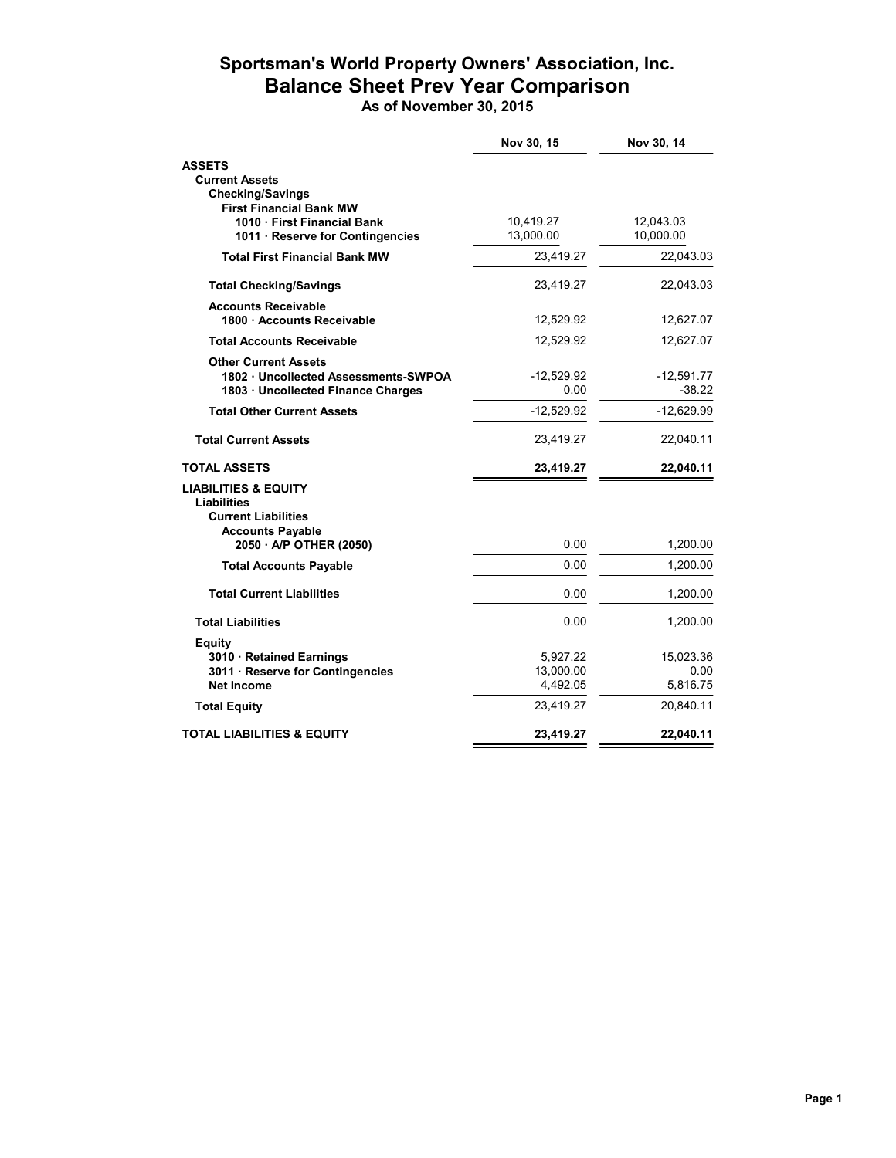## **Sportsman's World Property Owners' Association, Inc. Balance Sheet Prev Year Comparison**

**As of November 30, 2015**

|                                                              | Nov 30, 15            | Nov 30, 14        |
|--------------------------------------------------------------|-----------------------|-------------------|
| <b>ASSETS</b>                                                |                       |                   |
| <b>Current Assets</b>                                        |                       |                   |
| <b>Checking/Savings</b>                                      |                       |                   |
| <b>First Financial Bank MW</b><br>1010 First Financial Bank  | 10,419.27             | 12,043.03         |
| 1011 · Reserve for Contingencies                             | 13,000.00             | 10,000.00         |
| <b>Total First Financial Bank MW</b>                         | 23,419.27             | 22,043.03         |
| <b>Total Checking/Savings</b>                                | 23,419.27             | 22,043.03         |
| <b>Accounts Receivable</b>                                   |                       |                   |
| 1800 · Accounts Receivable                                   | 12,529.92             | 12,627.07         |
| <b>Total Accounts Receivable</b>                             | 12,529.92             | 12,627.07         |
| <b>Other Current Assets</b>                                  |                       |                   |
| 1802 · Uncollected Assessments-SWPOA                         | $-12.529.92$<br>0.00  | $-12,591.77$      |
| 1803 Uncollected Finance Charges                             |                       | $-38.22$          |
| <b>Total Other Current Assets</b>                            | $-12,529.92$          | $-12,629.99$      |
| <b>Total Current Assets</b>                                  | 23,419.27             | 22,040.11         |
| <b>TOTAL ASSETS</b>                                          | 23,419.27             | 22,040.11         |
| <b>LIABILITIES &amp; EQUITY</b>                              |                       |                   |
| <b>Liabilities</b>                                           |                       |                   |
| <b>Current Liabilities</b><br><b>Accounts Payable</b>        |                       |                   |
| 2050 · A/P OTHER (2050)                                      | 0.00                  | 1,200.00          |
| <b>Total Accounts Payable</b>                                | 0.00                  | 1,200.00          |
|                                                              |                       |                   |
| <b>Total Current Liabilities</b>                             | 0.00                  | 1,200.00          |
| <b>Total Liabilities</b>                                     | 0.00                  | 1,200.00          |
| <b>Equity</b>                                                |                       |                   |
| 3010 · Retained Earnings<br>3011 · Reserve for Contingencies | 5,927.22<br>13,000.00 | 15,023.36<br>0.00 |
| <b>Net Income</b>                                            | 4,492.05              | 5,816.75          |
| <b>Total Equity</b>                                          | 23,419.27             | 20,840.11         |
|                                                              |                       |                   |
| TOTAL LIABILITIES & EQUITY                                   | 23,419.27             | 22,040.11         |